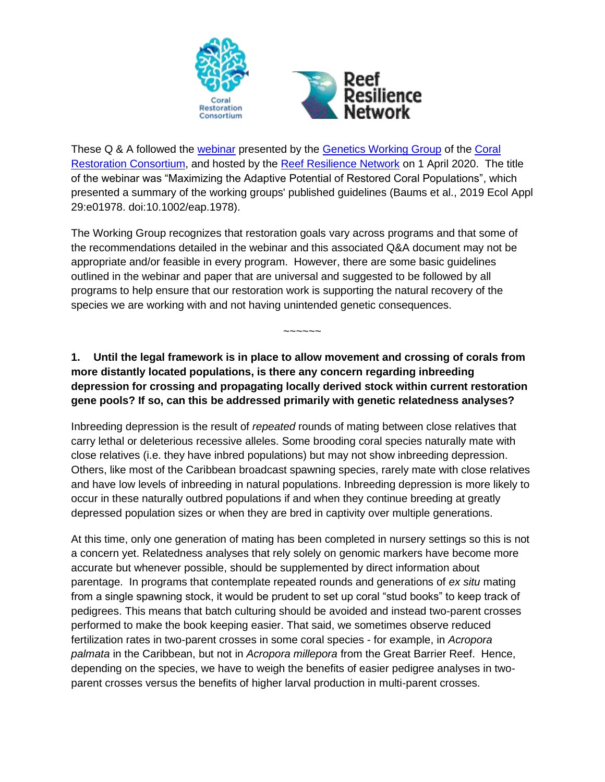

These Q & A followed the [webinar](http://crc.reefresilience.org/maximizing-the-adaptive-potential-of-restored-coral-populations/) presented by the [Genetics Working Group](http://crc.reefresilience.org/working-groups/genetics/) of the [Coral](http://crc.reefresilience.org/working-groups/genetics/)  [Restoration Consortium,](http://crc.reefresilience.org/working-groups/genetics/) and hosted by the [Reef Resilience Network](https://reefresilience.org/) on 1 April 2020. The title of the webinar was "Maximizing the Adaptive Potential of Restored Coral Populations", which presented a summary of the working groups' published guidelines (Baums et al., 2019 Ecol Appl 29:e01978. doi:10.1002/eap.1978).

The Working Group recognizes that restoration goals vary across programs and that some of the recommendations detailed in the webinar and this associated Q&A document may not be appropriate and/or feasible in every program. However, there are some basic guidelines outlined in the webinar and paper that are universal and suggested to be followed by all programs to help ensure that our restoration work is supporting the natural recovery of the species we are working with and not having unintended genetic consequences.

**1. Until the legal framework is in place to allow movement and crossing of corals from more distantly located populations, is there any concern regarding inbreeding depression for crossing and propagating locally derived stock within current restoration gene pools? If so, can this be addressed primarily with genetic relatedness analyses?**

~~~~~~

Inbreeding depression is the result of *repeated* rounds of mating between close relatives that carry lethal or deleterious recessive alleles. Some brooding coral species naturally mate with close relatives (i.e. they have inbred populations) but may not show inbreeding depression. Others, like most of the Caribbean broadcast spawning species, rarely mate with close relatives and have low levels of inbreeding in natural populations. Inbreeding depression is more likely to occur in these naturally outbred populations if and when they continue breeding at greatly depressed population sizes or when they are bred in captivity over multiple generations.

At this time, only one generation of mating has been completed in nursery settings so this is not a concern yet. Relatedness analyses that rely solely on genomic markers have become more accurate but whenever possible, should be supplemented by direct information about parentage. In programs that contemplate repeated rounds and generations of *ex situ* mating from a single spawning stock, it would be prudent to set up coral "stud books" to keep track of pedigrees. This means that batch culturing should be avoided and instead two-parent crosses performed to make the book keeping easier. That said, we sometimes observe reduced fertilization rates in two-parent crosses in some coral species - for example, in *Acropora palmata* in the Caribbean, but not in *Acropora millepora* from the Great Barrier Reef. Hence, depending on the species, we have to weigh the benefits of easier pedigree analyses in twoparent crosses versus the benefits of higher larval production in multi-parent crosses.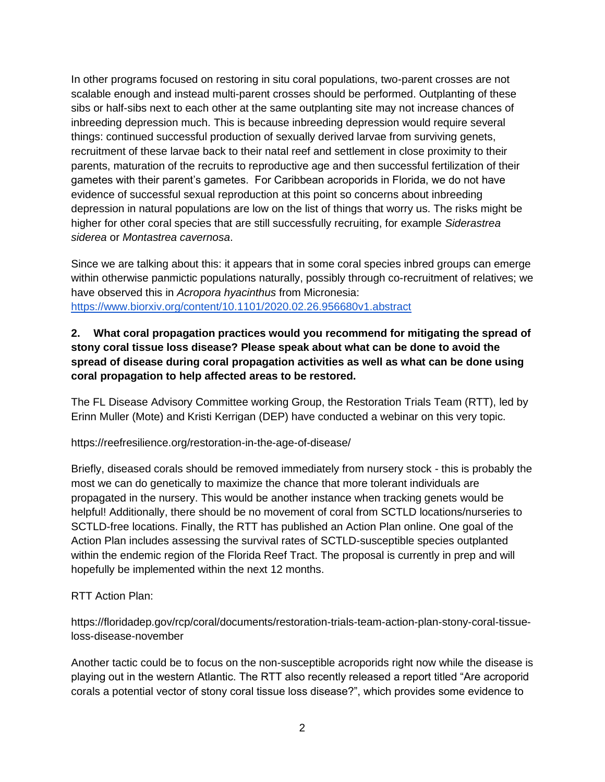In other programs focused on restoring in situ coral populations, two-parent crosses are not scalable enough and instead multi-parent crosses should be performed. Outplanting of these sibs or half-sibs next to each other at the same outplanting site may not increase chances of inbreeding depression much. This is because inbreeding depression would require several things: continued successful production of sexually derived larvae from surviving genets, recruitment of these larvae back to their natal reef and settlement in close proximity to their parents, maturation of the recruits to reproductive age and then successful fertilization of their gametes with their parent's gametes. For Caribbean acroporids in Florida, we do not have evidence of successful sexual reproduction at this point so concerns about inbreeding depression in natural populations are low on the list of things that worry us. The risks might be higher for other coral species that are still successfully recruiting, for example *Siderastrea siderea* or *Montastrea cavernosa*.

Since we are talking about this: it appears that in some coral species inbred groups can emerge within otherwise panmictic populations naturally, possibly through co-recruitment of relatives; we have observed this in *Acropora hyacinthus* from Micronesia: <https://www.biorxiv.org/content/10.1101/2020.02.26.956680v1.abstract>

### **2. What coral propagation practices would you recommend for mitigating the spread of stony coral tissue loss disease? Please speak about what can be done to avoid the spread of disease during coral propagation activities as well as what can be done using coral propagation to help affected areas to be restored.**

The FL Disease Advisory Committee working Group, the Restoration Trials Team (RTT), led by Erinn Muller (Mote) and Kristi Kerrigan (DEP) have conducted a webinar on this very topic.

https://reefresilience.org/restoration-in-the-age-of-disease/

Briefly, diseased corals should be removed immediately from nursery stock - this is probably the most we can do genetically to maximize the chance that more tolerant individuals are propagated in the nursery. This would be another instance when tracking genets would be helpful! Additionally, there should be no movement of coral from SCTLD locations/nurseries to SCTLD-free locations. Finally, the RTT has published an Action Plan online. One goal of the Action Plan includes assessing the survival rates of SCTLD-susceptible species outplanted within the endemic region of the Florida Reef Tract. The proposal is currently in prep and will hopefully be implemented within the next 12 months.

#### RTT Action Plan:

https://floridadep.gov/rcp/coral/documents/restoration-trials-team-action-plan-stony-coral-tissueloss-disease-november

Another tactic could be to focus on the non-susceptible acroporids right now while the disease is playing out in the western Atlantic. The RTT also recently released a report titled "Are acroporid corals a potential vector of stony coral tissue loss disease?", which provides some evidence to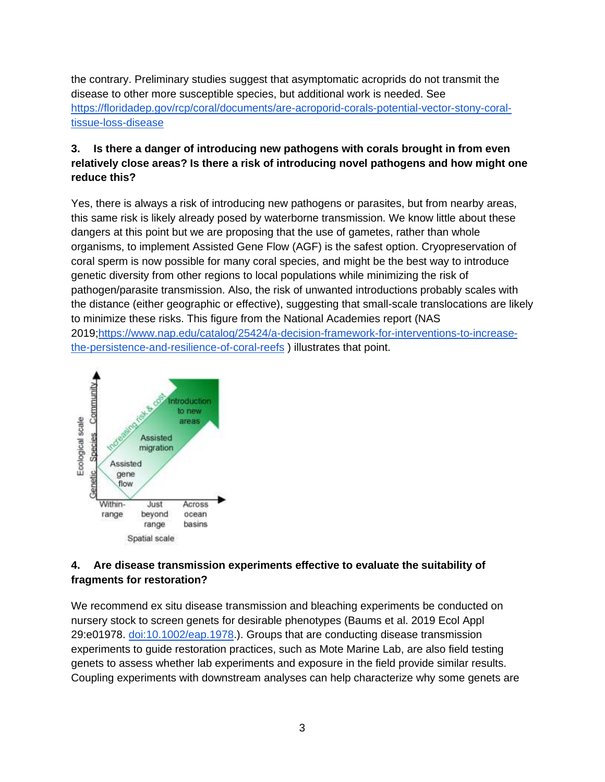the contrary. Preliminary studies suggest that asymptomatic acroprids do not transmit the disease to other more susceptible species, but additional work is needed. See [https://floridadep.gov/rcp/coral/documents/are-acroporid-corals-potential-vector-stony-coral](https://floridadep.gov/rcp/coral/documents/are-acroporid-corals-potential-vector-stony-coral-tissue-loss-disease)[tissue-loss-disease](https://floridadep.gov/rcp/coral/documents/are-acroporid-corals-potential-vector-stony-coral-tissue-loss-disease)

## **3. Is there a danger of introducing new pathogens with corals brought in from even relatively close areas? Is there a risk of introducing novel pathogens and how might one reduce this?**

Yes, there is always a risk of introducing new pathogens or parasites, but from nearby areas, this same risk is likely already posed by waterborne transmission. We know little about these dangers at this point but we are proposing that the use of gametes, rather than whole organisms, to implement Assisted Gene Flow (AGF) is the safest option. Cryopreservation of coral sperm is now possible for many coral species, and might be the best way to introduce genetic diversity from other regions to local populations while minimizing the risk of pathogen/parasite transmission. Also, the risk of unwanted introductions probably scales with the distance (either geographic or effective), suggesting that small-scale translocations are likely to minimize these risks. This figure from the National Academies report (NAS 2019[;https://www.nap.edu/catalog/25424/a-decision-framework-for-interventions-to-increase](https://www.nap.edu/catalog/25424/a-decision-framework-for-interventions-to-increase-the-persistence-and-resilience-of-coral-reefs)[the-persistence-and-resilience-of-coral-reefs](https://www.nap.edu/catalog/25424/a-decision-framework-for-interventions-to-increase-the-persistence-and-resilience-of-coral-reefs) ) illustrates that point.



## **4. Are disease transmission experiments effective to evaluate the suitability of fragments for restoration?**

We recommend ex situ disease transmission and bleaching experiments be conducted on nursery stock to screen genets for desirable phenotypes (Baums et al. 2019 Ecol Appl 29:e01978. [doi:10.1002/eap.1978.](https://doi.org/10.1002/eap.1978)). Groups that are conducting disease transmission experiments to guide restoration practices, such as Mote Marine Lab, are also field testing genets to assess whether lab experiments and exposure in the field provide similar results. Coupling experiments with downstream analyses can help characterize why some genets are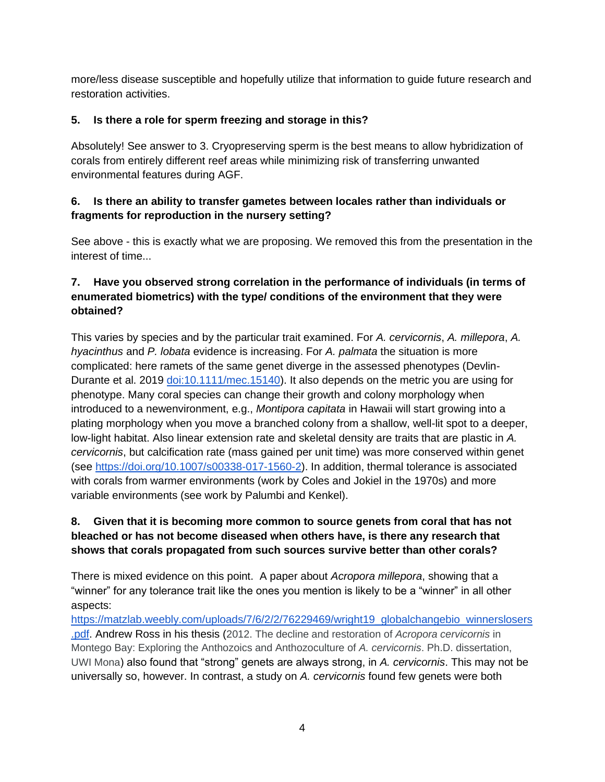more/less disease susceptible and hopefully utilize that information to guide future research and restoration activities.

## **5. Is there a role for sperm freezing and storage in this?**

Absolutely! See answer to 3. Cryopreserving sperm is the best means to allow hybridization of corals from entirely different reef areas while minimizing risk of transferring unwanted environmental features during AGF.

## **6. Is there an ability to transfer gametes between locales rather than individuals or fragments for reproduction in the nursery setting?**

See above - this is exactly what we are proposing. We removed this from the presentation in the interest of time...

# **7. Have you observed strong correlation in the performance of individuals (in terms of enumerated biometrics) with the type/ conditions of the environment that they were obtained?**

This varies by species and by the particular trait examined. For *A. cervicornis*, *A. millepora*, *A. hyacinthus* and *P. lobata* evidence is increasing. For *A. palmata* the situation is more complicated: here ramets of the same genet diverge in the assessed phenotypes (Devlin-Durante et al. 2019 [doi:10.1111/mec.15140\)](https://doi.org/10.1111/mec.15140). It also depends on the metric you are using for phenotype. Many coral species can change their growth and colony morphology when introduced to a newenvironment, e.g., *Montipora capitata* in Hawaii will start growing into a plating morphology when you move a branched colony from a shallow, well-lit spot to a deeper, low-light habitat. Also linear extension rate and skeletal density are traits that are plastic in *A. cervicornis*, but calcification rate (mass gained per unit time) was more conserved within genet (see [https://doi.org/10.1007/s00338-017-1560-2\)](https://doi.org/10.1007/s00338-017-1560-2). In addition, thermal tolerance is associated with corals from warmer environments (work by Coles and Jokiel in the 1970s) and more variable environments (see work by Palumbi and Kenkel).

# **8. Given that it is becoming more common to source genets from coral that has not bleached or has not become diseased when others have, is there any research that shows that corals propagated from such sources survive better than other corals?**

There is mixed evidence on this point. A paper about *Acropora millepora*, showing that a "winner" for any tolerance trait like the ones you mention is likely to be a "winner" in all other aspects:

[https://matzlab.weebly.com/uploads/7/6/2/2/76229469/wright19\\_globalchangebio\\_winnerslosers](https://matzlab.weebly.com/uploads/7/6/2/2/76229469/wright19_globalchangebio_winnerslosers.pdf) [.pdf.](https://matzlab.weebly.com/uploads/7/6/2/2/76229469/wright19_globalchangebio_winnerslosers.pdf) Andrew Ross in his thesis (2012. The decline and restoration of *Acropora cervicornis* in Montego Bay: Exploring the Anthozoics and Anthozoculture of *A. cervicornis*. Ph.D. dissertation, UWI Mona) also found that "strong" genets are always strong, in *A. cervicornis*. This may not be universally so, however. In contrast, a study on *A. cervicornis* found few genets were both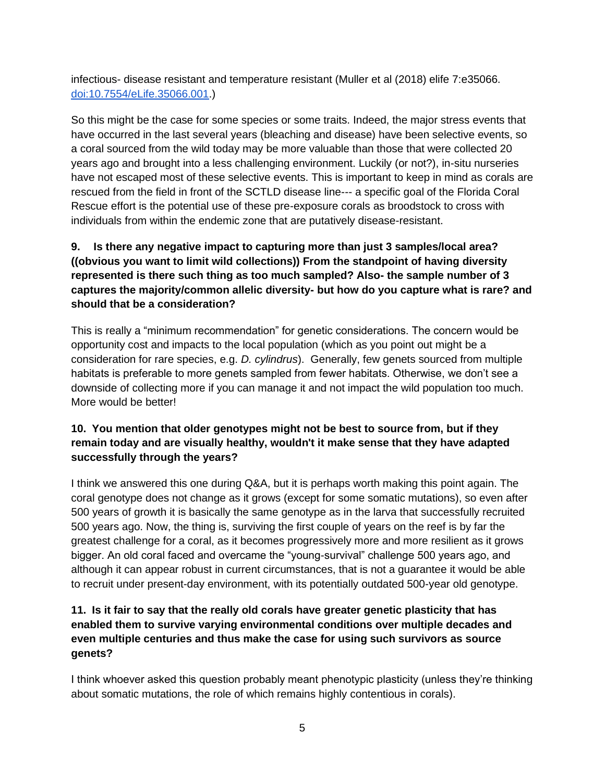infectious- disease resistant and temperature resistant (Muller et al (2018) elife 7:e35066. [doi:10.7554/eLife.35066.001.](https://doi.org/10.1002/eap.1978))

So this might be the case for some species or some traits. Indeed, the major stress events that have occurred in the last several years (bleaching and disease) have been selective events, so a coral sourced from the wild today may be more valuable than those that were collected 20 years ago and brought into a less challenging environment. Luckily (or not?), in-situ nurseries have not escaped most of these selective events. This is important to keep in mind as corals are rescued from the field in front of the SCTLD disease line--- a specific goal of the Florida Coral Rescue effort is the potential use of these pre-exposure corals as broodstock to cross with individuals from within the endemic zone that are putatively disease-resistant.

# **9. Is there any negative impact to capturing more than just 3 samples/local area? ((obvious you want to limit wild collections)) From the standpoint of having diversity represented is there such thing as too much sampled? Also- the sample number of 3 captures the majority/common allelic diversity- but how do you capture what is rare? and should that be a consideration?**

This is really a "minimum recommendation" for genetic considerations. The concern would be opportunity cost and impacts to the local population (which as you point out might be a consideration for rare species, e.g. *D. cylindrus*). Generally, few genets sourced from multiple habitats is preferable to more genets sampled from fewer habitats. Otherwise, we don't see a downside of collecting more if you can manage it and not impact the wild population too much. More would be better!

## **10. You mention that older genotypes might not be best to source from, but if they remain today and are visually healthy, wouldn't it make sense that they have adapted successfully through the years?**

I think we answered this one during Q&A, but it is perhaps worth making this point again. The coral genotype does not change as it grows (except for some somatic mutations), so even after 500 years of growth it is basically the same genotype as in the larva that successfully recruited 500 years ago. Now, the thing is, surviving the first couple of years on the reef is by far the greatest challenge for a coral, as it becomes progressively more and more resilient as it grows bigger. An old coral faced and overcame the "young-survival" challenge 500 years ago, and although it can appear robust in current circumstances, that is not a guarantee it would be able to recruit under present-day environment, with its potentially outdated 500-year old genotype.

## **11. Is it fair to say that the really old corals have greater genetic plasticity that has enabled them to survive varying environmental conditions over multiple decades and even multiple centuries and thus make the case for using such survivors as source genets?**

I think whoever asked this question probably meant phenotypic plasticity (unless they're thinking about somatic mutations, the role of which remains highly contentious in corals).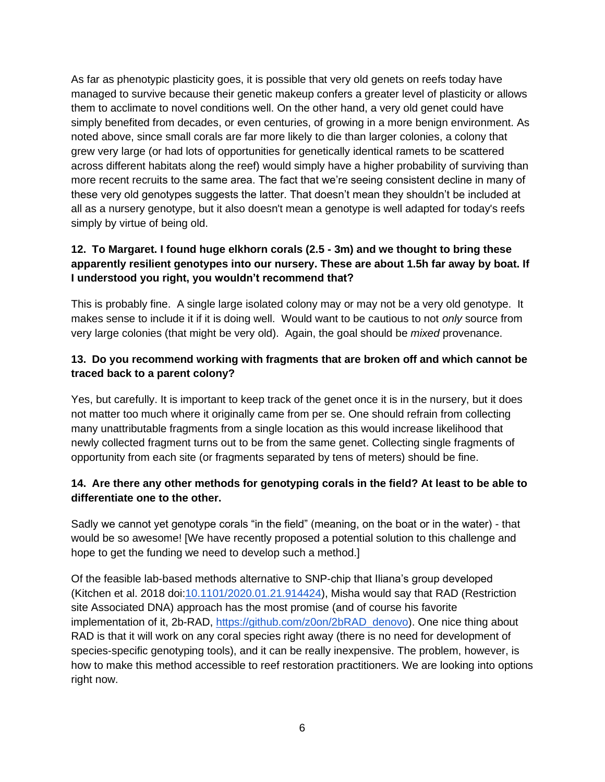As far as phenotypic plasticity goes, it is possible that very old genets on reefs today have managed to survive because their genetic makeup confers a greater level of plasticity or allows them to acclimate to novel conditions well. On the other hand, a very old genet could have simply benefited from decades, or even centuries, of growing in a more benign environment. As noted above, since small corals are far more likely to die than larger colonies, a colony that grew very large (or had lots of opportunities for genetically identical ramets to be scattered across different habitats along the reef) would simply have a higher probability of surviving than more recent recruits to the same area. The fact that we're seeing consistent decline in many of these very old genotypes suggests the latter. That doesn't mean they shouldn't be included at all as a nursery genotype, but it also doesn't mean a genotype is well adapted for today's reefs simply by virtue of being old.

### **12. To Margaret. I found huge elkhorn corals (2.5 - 3m) and we thought to bring these apparently resilient genotypes into our nursery. These are about 1.5h far away by boat. If I understood you right, you wouldn't recommend that?**

This is probably fine. A single large isolated colony may or may not be a very old genotype. It makes sense to include it if it is doing well. Would want to be cautious to not *only* source from very large colonies (that might be very old). Again, the goal should be *mixed* provenance.

### **13. Do you recommend working with fragments that are broken off and which cannot be traced back to a parent colony?**

Yes, but carefully. It is important to keep track of the genet once it is in the nursery, but it does not matter too much where it originally came from per se. One should refrain from collecting many unattributable fragments from a single location as this would increase likelihood that newly collected fragment turns out to be from the same genet. Collecting single fragments of opportunity from each site (or fragments separated by tens of meters) should be fine.

#### **14. Are there any other methods for genotyping corals in the field? At least to be able to differentiate one to the other.**

Sadly we cannot yet genotype corals "in the field" (meaning, on the boat or in the water) - that would be so awesome! [We have recently proposed a potential solution to this challenge and hope to get the funding we need to develop such a method.]

Of the feasible lab-based methods alternative to SNP-chip that Iliana's group developed (Kitchen et al. 2018 doi[:10.1101/2020.01.21.914424\)](https://doi.org/10.1101/2020.01.21.914424), Misha would say that RAD (Restriction site Associated DNA) approach has the most promise (and of course his favorite implementation of it, 2b-RAD, [https://github.com/z0on/2bRAD\\_denovo\)](https://github.com/z0on/2bRAD_denovo). One nice thing about RAD is that it will work on any coral species right away (there is no need for development of species-specific genotyping tools), and it can be really inexpensive. The problem, however, is how to make this method accessible to reef restoration practitioners. We are looking into options right now.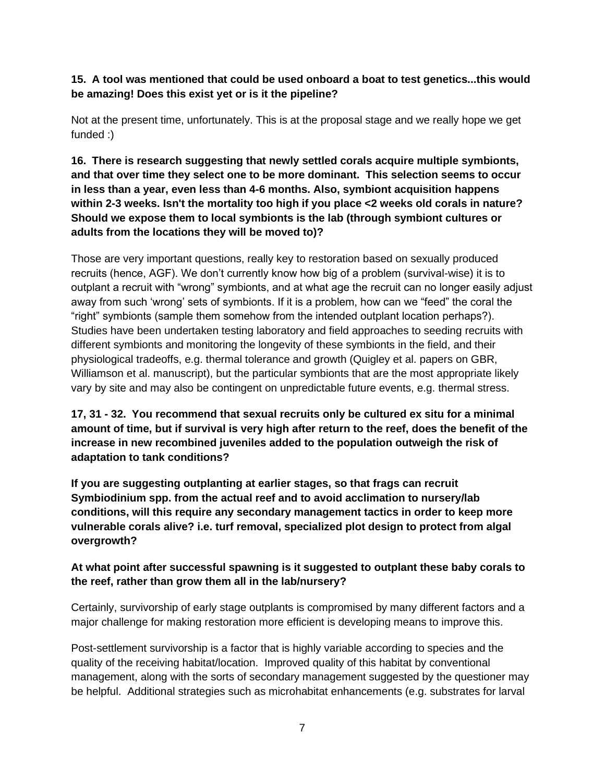### **15. A tool was mentioned that could be used onboard a boat to test genetics...this would be amazing! Does this exist yet or is it the pipeline?**

Not at the present time, unfortunately. This is at the proposal stage and we really hope we get funded :)

**16. There is research suggesting that newly settled corals acquire multiple symbionts, and that over time they select one to be more dominant. This selection seems to occur in less than a year, even less than 4-6 months. Also, symbiont acquisition happens within 2-3 weeks. Isn't the mortality too high if you place <2 weeks old corals in nature? Should we expose them to local symbionts is the lab (through symbiont cultures or adults from the locations they will be moved to)?**

Those are very important questions, really key to restoration based on sexually produced recruits (hence, AGF). We don't currently know how big of a problem (survival-wise) it is to outplant a recruit with "wrong" symbionts, and at what age the recruit can no longer easily adjust away from such 'wrong' sets of symbionts. If it is a problem, how can we "feed" the coral the "right" symbionts (sample them somehow from the intended outplant location perhaps?). Studies have been undertaken testing laboratory and field approaches to seeding recruits with different symbionts and monitoring the longevity of these symbionts in the field, and their physiological tradeoffs, e.g. thermal tolerance and growth (Quigley et al. papers on GBR, Williamson et al. manuscript), but the particular symbionts that are the most appropriate likely vary by site and may also be contingent on unpredictable future events, e.g. thermal stress.

**17, 31 - 32. You recommend that sexual recruits only be cultured ex situ for a minimal amount of time, but if survival is very high after return to the reef, does the benefit of the increase in new recombined juveniles added to the population outweigh the risk of adaptation to tank conditions?**

**If you are suggesting outplanting at earlier stages, so that frags can recruit Symbiodinium spp. from the actual reef and to avoid acclimation to nursery/lab conditions, will this require any secondary management tactics in order to keep more vulnerable corals alive? i.e. turf removal, specialized plot design to protect from algal overgrowth?**

#### **At what point after successful spawning is it suggested to outplant these baby corals to the reef, rather than grow them all in the lab/nursery?**

Certainly, survivorship of early stage outplants is compromised by many different factors and a major challenge for making restoration more efficient is developing means to improve this.

Post-settlement survivorship is a factor that is highly variable according to species and the quality of the receiving habitat/location. Improved quality of this habitat by conventional management, along with the sorts of secondary management suggested by the questioner may be helpful. Additional strategies such as microhabitat enhancements (e.g. substrates for larval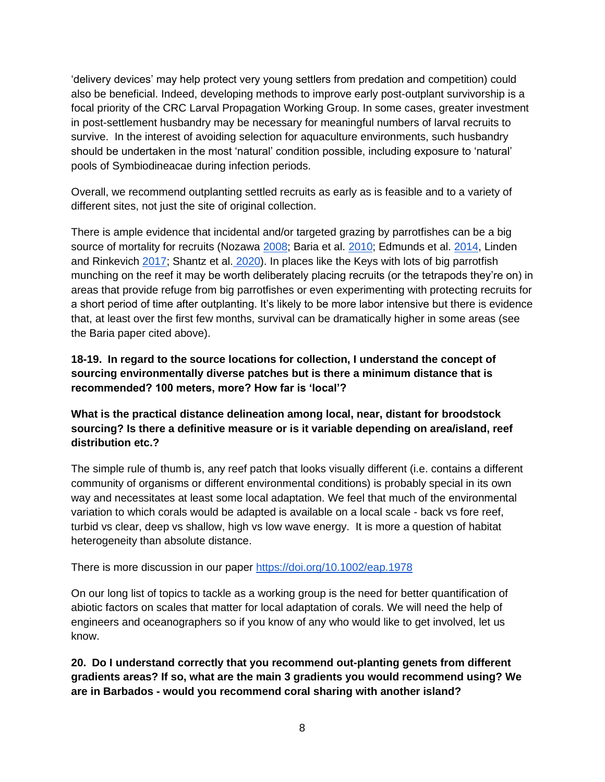'delivery devices' may help protect very young settlers from predation and competition) could also be beneficial. Indeed, developing methods to improve early post-outplant survivorship is a focal priority of the CRC Larval Propagation Working Group. In some cases, greater investment in post-settlement husbandry may be necessary for meaningful numbers of larval recruits to survive. In the interest of avoiding selection for aquaculture environments, such husbandry should be undertaken in the most 'natural' condition possible, including exposure to 'natural' pools of Symbiodineacae during infection periods.

Overall, we recommend outplanting settled recruits as early as is feasible and to a variety of different sites, not just the site of original collection.

There is ample evidence that incidental and/or targeted grazing by parrotfishes can be a big source of mortality for recruits (Nozawa [2008;](https://www.sciencedirect.com/science/article/pii/S0022098108004395) Baria et al. [2010;](https://www.sciencedirect.com/science/article/pii/S0022098110003205) Edmunds et al. [2014,](https://www.sciencedirect.com/science/article/pii/S0022098114000446) Linden and Rinkevich [2017;](https://www.sciencedirect.com/science/article/pii/S0022098116301964?via%3Dihub) Shantz et al. [2020\)](https://esajournals.onlinelibrary.wiley.com/doi/full/10.1002/ecm.1403). In places like the Keys with lots of big parrotfish munching on the reef it may be worth deliberately placing recruits (or the tetrapods they're on) in areas that provide refuge from big parrotfishes or even experimenting with protecting recruits for a short period of time after outplanting. It's likely to be more labor intensive but there is evidence that, at least over the first few months, survival can be dramatically higher in some areas (see the Baria paper cited above).

### **18-19. In regard to the source locations for collection, I understand the concept of sourcing environmentally diverse patches but is there a minimum distance that is recommended? 100 meters, more? How far is 'local'?**

**What is the practical distance delineation among local, near, distant for broodstock sourcing? Is there a definitive measure or is it variable depending on area/island, reef distribution etc.?**

The simple rule of thumb is, any reef patch that looks visually different (i.e. contains a different community of organisms or different environmental conditions) is probably special in its own way and necessitates at least some local adaptation. We feel that much of the environmental variation to which corals would be adapted is available on a local scale - back vs fore reef, turbid vs clear, deep vs shallow, high vs low wave energy. It is more a question of habitat heterogeneity than absolute distance.

There is more discussion in our paper<https://doi.org/10.1002/eap.1978>

On our long list of topics to tackle as a working group is the need for better quantification of abiotic factors on scales that matter for local adaptation of corals. We will need the help of engineers and oceanographers so if you know of any who would like to get involved, let us know.

**20. Do I understand correctly that you recommend out-planting genets from different gradients areas? If so, what are the main 3 gradients you would recommend using? We are in Barbados - would you recommend coral sharing with another island?**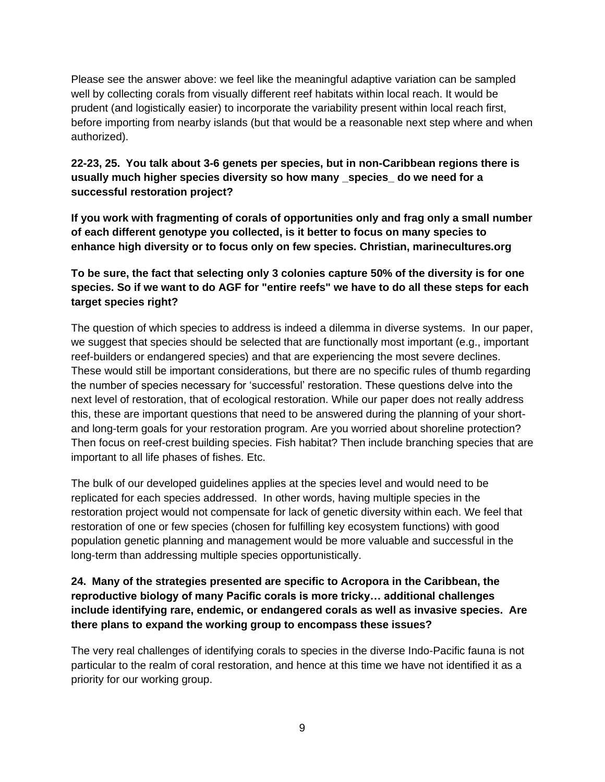Please see the answer above: we feel like the meaningful adaptive variation can be sampled well by collecting corals from visually different reef habitats within local reach. It would be prudent (and logistically easier) to incorporate the variability present within local reach first, before importing from nearby islands (but that would be a reasonable next step where and when authorized).

### **22-23, 25. You talk about 3-6 genets per species, but in non-Caribbean regions there is usually much higher species diversity so how many \_species\_ do we need for a successful restoration project?**

**If you work with fragmenting of corals of opportunities only and frag only a small number of each different genotype you collected, is it better to focus on many species to enhance high diversity or to focus only on few species. Christian, marinecultures.org**

## **To be sure, the fact that selecting only 3 colonies capture 50% of the diversity is for one species. So if we want to do AGF for "entire reefs" we have to do all these steps for each target species right?**

The question of which species to address is indeed a dilemma in diverse systems. In our paper, we suggest that species should be selected that are functionally most important (e.g., important reef-builders or endangered species) and that are experiencing the most severe declines. These would still be important considerations, but there are no specific rules of thumb regarding the number of species necessary for 'successful' restoration. These questions delve into the next level of restoration, that of ecological restoration. While our paper does not really address this, these are important questions that need to be answered during the planning of your shortand long-term goals for your restoration program. Are you worried about shoreline protection? Then focus on reef-crest building species. Fish habitat? Then include branching species that are important to all life phases of fishes. Etc.

The bulk of our developed guidelines applies at the species level and would need to be replicated for each species addressed. In other words, having multiple species in the restoration project would not compensate for lack of genetic diversity within each. We feel that restoration of one or few species (chosen for fulfilling key ecosystem functions) with good population genetic planning and management would be more valuable and successful in the long-term than addressing multiple species opportunistically.

### **24. Many of the strategies presented are specific to Acropora in the Caribbean, the reproductive biology of many Pacific corals is more tricky… additional challenges include identifying rare, endemic, or endangered corals as well as invasive species. Are there plans to expand the working group to encompass these issues?**

The very real challenges of identifying corals to species in the diverse Indo-Pacific fauna is not particular to the realm of coral restoration, and hence at this time we have not identified it as a priority for our working group.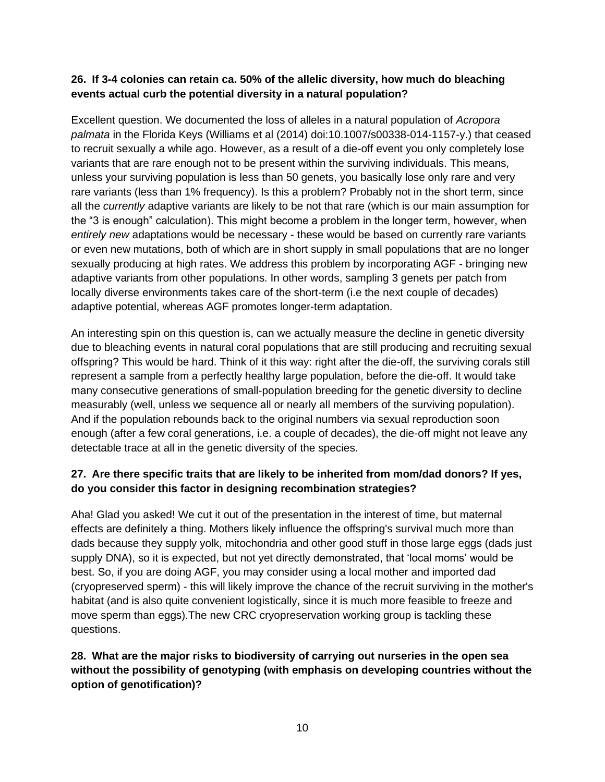#### **26. If 3-4 colonies can retain ca. 50% of the allelic diversity, how much do bleaching events actual curb the potential diversity in a natural population?**

Excellent question. We documented the loss of alleles in a natural population of *Acropora palmata* in the Florida Keys (Williams et al (2014) doi:10.1007/s00338-014-1157-y.) that ceased to recruit sexually a while ago. However, as a result of a die-off event you only completely lose variants that are rare enough not to be present within the surviving individuals. This means, unless your surviving population is less than 50 genets, you basically lose only rare and very rare variants (less than 1% frequency). Is this a problem? Probably not in the short term, since all the *currently* adaptive variants are likely to be not that rare (which is our main assumption for the "3 is enough" calculation). This might become a problem in the longer term, however, when *entirely new* adaptations would be necessary - these would be based on currently rare variants or even new mutations, both of which are in short supply in small populations that are no longer sexually producing at high rates. We address this problem by incorporating AGF - bringing new adaptive variants from other populations. In other words, sampling 3 genets per patch from locally diverse environments takes care of the short-term (i.e the next couple of decades) adaptive potential, whereas AGF promotes longer-term adaptation.

An interesting spin on this question is, can we actually measure the decline in genetic diversity due to bleaching events in natural coral populations that are still producing and recruiting sexual offspring? This would be hard. Think of it this way: right after the die-off, the surviving corals still represent a sample from a perfectly healthy large population, before the die-off. It would take many consecutive generations of small-population breeding for the genetic diversity to decline measurably (well, unless we sequence all or nearly all members of the surviving population). And if the population rebounds back to the original numbers via sexual reproduction soon enough (after a few coral generations, i.e. a couple of decades), the die-off might not leave any detectable trace at all in the genetic diversity of the species.

## **27. Are there specific traits that are likely to be inherited from mom/dad donors? If yes, do you consider this factor in designing recombination strategies?**

Aha! Glad you asked! We cut it out of the presentation in the interest of time, but maternal effects are definitely a thing. Mothers likely influence the offspring's survival much more than dads because they supply yolk, mitochondria and other good stuff in those large eggs (dads just supply DNA), so it is expected, but not yet directly demonstrated, that 'local moms' would be best. So, if you are doing AGF, you may consider using a local mother and imported dad (cryopreserved sperm) - this will likely improve the chance of the recruit surviving in the mother's habitat (and is also quite convenient logistically, since it is much more feasible to freeze and move sperm than eggs).The new CRC cryopreservation working group is tackling these questions.

## **28. What are the major risks to biodiversity of carrying out nurseries in the open sea without the possibility of genotyping (with emphasis on developing countries without the option of genotification)?**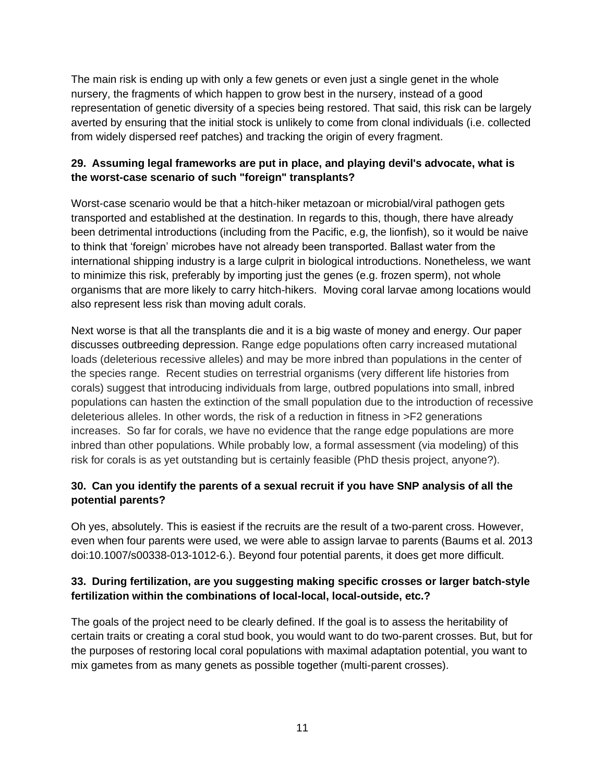The main risk is ending up with only a few genets or even just a single genet in the whole nursery, the fragments of which happen to grow best in the nursery, instead of a good representation of genetic diversity of a species being restored. That said, this risk can be largely averted by ensuring that the initial stock is unlikely to come from clonal individuals (i.e. collected from widely dispersed reef patches) and tracking the origin of every fragment.

## **29. Assuming legal frameworks are put in place, and playing devil's advocate, what is the worst-case scenario of such "foreign" transplants?**

Worst-case scenario would be that a hitch-hiker metazoan or microbial/viral pathogen gets transported and established at the destination. In regards to this, though, there have already been detrimental introductions (including from the Pacific, e.g, the lionfish), so it would be naive to think that 'foreign' microbes have not already been transported. Ballast water from the international shipping industry is a large culprit in biological introductions. Nonetheless, we want to minimize this risk, preferably by importing just the genes (e.g. frozen sperm), not whole organisms that are more likely to carry hitch-hikers. Moving coral larvae among locations would also represent less risk than moving adult corals.

Next worse is that all the transplants die and it is a big waste of money and energy. Our paper discusses outbreeding depression. Range edge populations often carry increased mutational loads (deleterious recessive alleles) and may be more inbred than populations in the center of the species range. Recent studies on terrestrial organisms (very different life histories from corals) suggest that introducing individuals from large, outbred populations into small, inbred populations can hasten the extinction of the small population due to the introduction of recessive deleterious alleles. In other words, the risk of a reduction in fitness in >F2 generations increases. So far for corals, we have no evidence that the range edge populations are more inbred than other populations. While probably low, a formal assessment (via modeling) of this risk for corals is as yet outstanding but is certainly feasible (PhD thesis project, anyone?).

## **30. Can you identify the parents of a sexual recruit if you have SNP analysis of all the potential parents?**

Oh yes, absolutely. This is easiest if the recruits are the result of a two-parent cross. However, even when four parents were used, we were able to assign larvae to parents (Baums et al. 2013 doi:10.1007/s00338-013-1012-6.). Beyond four potential parents, it does get more difficult.

## **33. During fertilization, are you suggesting making specific crosses or larger batch-style fertilization within the combinations of local-local, local-outside, etc.?**

The goals of the project need to be clearly defined. If the goal is to assess the heritability of certain traits or creating a coral stud book, you would want to do two-parent crosses. But, but for the purposes of restoring local coral populations with maximal adaptation potential, you want to mix gametes from as many genets as possible together (multi-parent crosses).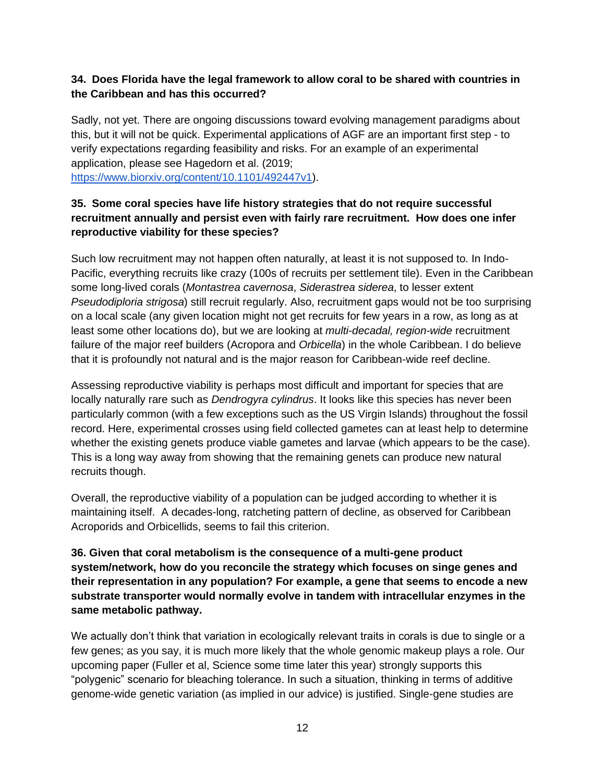### **34. Does Florida have the legal framework to allow coral to be shared with countries in the Caribbean and has this occurred?**

Sadly, not yet. There are ongoing discussions toward evolving management paradigms about this, but it will not be quick. Experimental applications of AGF are an important first step - to verify expectations regarding feasibility and risks. For an example of an experimental application, please see Hagedorn et al. (2019; [https://www.biorxiv.org/content/10.1101/492447v1\)](https://www.biorxiv.org/content/10.1101/492447v1).

### **35. Some coral species have life history strategies that do not require successful recruitment annually and persist even with fairly rare recruitment. How does one infer reproductive viability for these species?**

Such low recruitment may not happen often naturally, at least it is not supposed to. In Indo-Pacific, everything recruits like crazy (100s of recruits per settlement tile). Even in the Caribbean some long-lived corals (*Montastrea cavernosa*, *Siderastrea siderea*, to lesser extent *Pseudodiploria strigosa*) still recruit regularly. Also, recruitment gaps would not be too surprising on a local scale (any given location might not get recruits for few years in a row, as long as at least some other locations do), but we are looking at *multi-decadal, region-wide* recruitment failure of the major reef builders (Acropora and *Orbicella*) in the whole Caribbean. I do believe that it is profoundly not natural and is the major reason for Caribbean-wide reef decline.

Assessing reproductive viability is perhaps most difficult and important for species that are locally naturally rare such as *Dendrogyra cylindrus*. It looks like this species has never been particularly common (with a few exceptions such as the US Virgin Islands) throughout the fossil record. Here, experimental crosses using field collected gametes can at least help to determine whether the existing genets produce viable gametes and larvae (which appears to be the case). This is a long way away from showing that the remaining genets can produce new natural recruits though.

Overall, the reproductive viability of a population can be judged according to whether it is maintaining itself. A decades-long, ratcheting pattern of decline, as observed for Caribbean Acroporids and Orbicellids, seems to fail this criterion.

**36. Given that coral metabolism is the consequence of a multi-gene product system/network, how do you reconcile the strategy which focuses on singe genes and their representation in any population? For example, a gene that seems to encode a new substrate transporter would normally evolve in tandem with intracellular enzymes in the same metabolic pathway.**

We actually don't think that variation in ecologically relevant traits in corals is due to single or a few genes; as you say, it is much more likely that the whole genomic makeup plays a role. Our upcoming paper (Fuller et al, Science some time later this year) strongly supports this "polygenic" scenario for bleaching tolerance. In such a situation, thinking in terms of additive genome-wide genetic variation (as implied in our advice) is justified. Single-gene studies are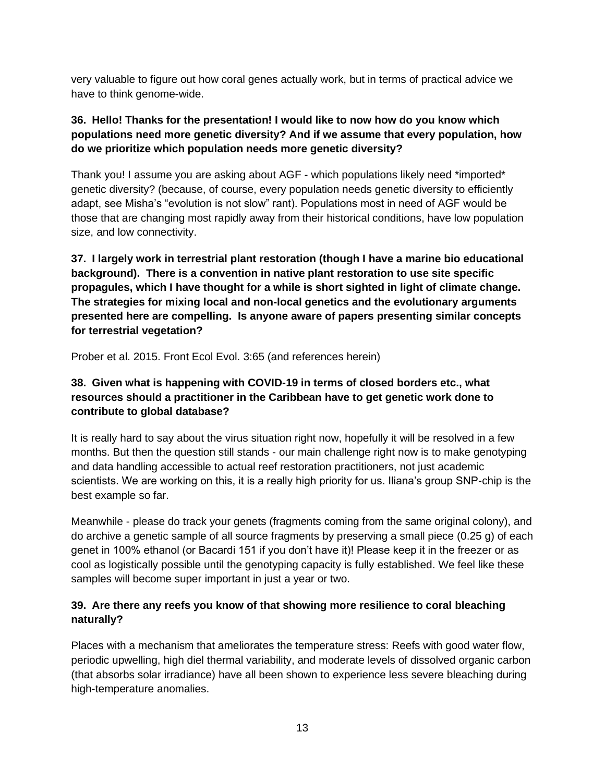very valuable to figure out how coral genes actually work, but in terms of practical advice we have to think genome-wide.

## **36. Hello! Thanks for the presentation! I would like to now how do you know which populations need more genetic diversity? And if we assume that every population, how do we prioritize which population needs more genetic diversity?**

Thank you! I assume you are asking about AGF - which populations likely need \*imported\* genetic diversity? (because, of course, every population needs genetic diversity to efficiently adapt, see Misha's "evolution is not slow" rant). Populations most in need of AGF would be those that are changing most rapidly away from their historical conditions, have low population size, and low connectivity.

**37. I largely work in terrestrial plant restoration (though I have a marine bio educational background). There is a convention in native plant restoration to use site specific propagules, which I have thought for a while is short sighted in light of climate change. The strategies for mixing local and non-local genetics and the evolutionary arguments presented here are compelling. Is anyone aware of papers presenting similar concepts for terrestrial vegetation?**

Prober et al. 2015. Front Ecol Evol. 3:65 (and references herein)

## **38. Given what is happening with COVID-19 in terms of closed borders etc., what resources should a practitioner in the Caribbean have to get genetic work done to contribute to global database?**

It is really hard to say about the virus situation right now, hopefully it will be resolved in a few months. But then the question still stands - our main challenge right now is to make genotyping and data handling accessible to actual reef restoration practitioners, not just academic scientists. We are working on this, it is a really high priority for us. Iliana's group SNP-chip is the best example so far.

Meanwhile - please do track your genets (fragments coming from the same original colony), and do archive a genetic sample of all source fragments by preserving a small piece (0.25 g) of each genet in 100% ethanol (or Bacardi 151 if you don't have it)! Please keep it in the freezer or as cool as logistically possible until the genotyping capacity is fully established. We feel like these samples will become super important in just a year or two.

# **39. Are there any reefs you know of that showing more resilience to coral bleaching naturally?**

Places with a mechanism that ameliorates the temperature stress: Reefs with good water flow, periodic upwelling, high diel thermal variability, and moderate levels of dissolved organic carbon (that absorbs solar irradiance) have all been shown to experience less severe bleaching during high-temperature anomalies.